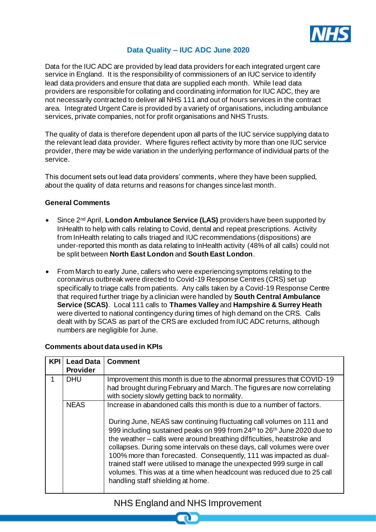

### **Data Quality – IUC ADC June 2020**

Data for the IUC ADC are provided by lead data providers for each integrated urgent care service in England. It is the responsibility of commissioners of an IUC service to identify lead data providers and ensure that data are supplied each month. While lead data providers are responsible for collating and coordinating information for IUC ADC, they are not necessarily contracted to deliver all NHS 111 and out of hours services in the contract area. Integrated Urgent Care is provided by a variety of organisations, including ambulance services, private companies, not for profit organisations and NHS Trusts.

The quality of data is therefore dependent upon all parts of the IUC service supplying data to the relevant lead data provider. Where figures reflect activity by more than one IUC service provider, there may be wide variation in the underlying performance of individual parts of the service.

This document sets out lead data providers' comments, where they have been supplied, about the quality of data returns and reasons for changes since last month.

#### **General Comments**

- Since 2nd April, **London Ambulance Service (LAS)** providers have been supported by InHealth to help with calls relating to Covid, dental and repeat prescriptions. Activity from InHealth relating to calls triaged and IUC recommendations (dispositions) are under-reported this month as data relating to InHealth activity (48% of all calls) could not be split between **North East London** and **South East London**.
- From March to early June, callers who were experiencing symptoms relating to the coronavirus outbreak were directed to Covid-19 Response Centres (CRS) set up specifically to triage calls from patients. Any calls taken by a Covid-19 Response Centre that required further triage by a clinician were handled by **South Central Ambulance Service (SCAS)**. Local 111 calls to **Thames Valley** and **Hampshire & Surrey Heath** were diverted to national contingency during times of high demand on the CRS. Calls dealt with by SCAS as part of the CRS are excluded from IUC ADC returns, although numbers are negligible for June.

| <b>KP</b> | <b>Lead Data</b><br><b>Provider</b> | <b>Comment</b>                                                                                                                                                                                                                                                                                                                                                                                                                                                                                                                                                                                                                             |
|-----------|-------------------------------------|--------------------------------------------------------------------------------------------------------------------------------------------------------------------------------------------------------------------------------------------------------------------------------------------------------------------------------------------------------------------------------------------------------------------------------------------------------------------------------------------------------------------------------------------------------------------------------------------------------------------------------------------|
|           | DHU                                 | Improvement this month is due to the abnormal pressures that COVID-19<br>had brought during February and March. The figures are now correlating<br>with society slowly getting back to normality.                                                                                                                                                                                                                                                                                                                                                                                                                                          |
|           | <b>NEAS</b>                         | Increase in abandoned calls this month is due to a number of factors.<br>During June, NEAS saw continuing fluctuating call volumes on 111 and<br>999 including sustained peaks on 999 from 24th to 26th June 2020 due to<br>the weather – calls were around breathing difficulties, heatstroke and<br>collapses. During some intervals on these days, call volumes were over<br>100% more than forecasted. Consequently, 111 was impacted as dual-<br>trained staff were utilised to manage the unexpected 999 surge in call<br>volumes. This was at a time when headcount was reduced due to 25 call<br>handling staff shielding at home. |

#### **Comments about data used in KPIs**

# NHS England and NHS Improvement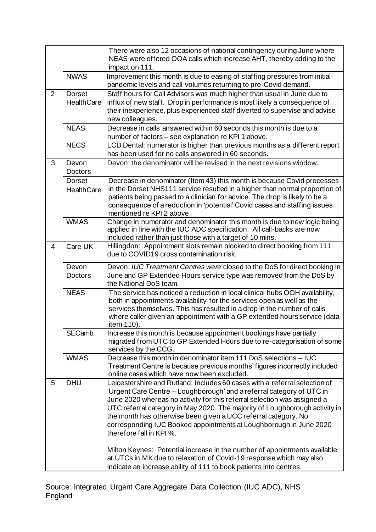|   |                                    | There were also 12 occasions of national contingency during June where<br>NEAS were offered OOA calls which increase AHT, thereby adding to the<br>impact on 111.                                                                                                                                                                                                                                                                                                                                                                                               |
|---|------------------------------------|-----------------------------------------------------------------------------------------------------------------------------------------------------------------------------------------------------------------------------------------------------------------------------------------------------------------------------------------------------------------------------------------------------------------------------------------------------------------------------------------------------------------------------------------------------------------|
|   | <b>NWAS</b>                        | Improvement this month is due to easing of staffing pressures from initial<br>pandemic levels and call volumes returning to pre-Covid demand.                                                                                                                                                                                                                                                                                                                                                                                                                   |
| 2 | <b>Dorset</b><br><b>HealthCare</b> | Staff hours for Call Advisors was much higher than usual in June due to<br>influx of new staff. Drop in performance is most likely a consequence of<br>their inexperience, plus experienced staff diverted to supervise and advise<br>new colleagues.                                                                                                                                                                                                                                                                                                           |
|   | <b>NEAS</b>                        | Decrease in calls answered within 60 seconds this month is due to a<br>number of factors – see explanation re KPI 1 above.                                                                                                                                                                                                                                                                                                                                                                                                                                      |
|   | <b>NECS</b>                        | LCD Dental: numerator is higher than previous months as a different report<br>has been used for no calls answered in 60 seconds.                                                                                                                                                                                                                                                                                                                                                                                                                                |
| 3 | Devon<br><b>Doctors</b>            | Devon: the denominator will be revised in the next revisions window.                                                                                                                                                                                                                                                                                                                                                                                                                                                                                            |
|   | <b>Dorset</b><br><b>HealthCare</b> | Decrease in denominator (Item 43) this month is because Covid processes<br>in the Dorset NHS111 service resulted in a higher than normal proportion of<br>patients being passed to a clinician for advice. The drop is likely to be a<br>consequence of a reduction in 'potential' Covid cases and staffing issues<br>mentioned re KPI 2 above.                                                                                                                                                                                                                 |
|   | <b>WMAS</b>                        | Change in numerator and denominator this month is due to new logic being<br>applied in line with the IUC ADC specification. All call-backs are now<br>included rather than just those with a target of 10 mins.                                                                                                                                                                                                                                                                                                                                                 |
| 4 | Care UK                            | Hillingdon: Appointment slots remain blocked to direct booking from 111<br>due to COVID19 cross contamination risk.                                                                                                                                                                                                                                                                                                                                                                                                                                             |
|   | Devon<br><b>Doctors</b>            | Devon: IUC Treatment Centres were closed to the DoS for direct booking in<br>June and GP Extended Hours service type was removed from the DoS by<br>the National DoS team.                                                                                                                                                                                                                                                                                                                                                                                      |
|   | <b>NEAS</b>                        | The service has noticed a reduction in local clinical hubs OOH availability,<br>both in appointments availability for the services open as well as the<br>services themselves. This has resulted in a drop in the number of calls<br>where caller given an appointment with a GP extended hours service (data<br>item 110).                                                                                                                                                                                                                                     |
|   | <b>SECamb</b>                      | Increase this month is because appointment bookings have partially<br>migrated from UTC to GP Extended Hours due to re-categorisation of some<br>services by the CCG.                                                                                                                                                                                                                                                                                                                                                                                           |
|   | <b>WMAS</b>                        | Decrease this month in denominator item 111 DoS selections - IUC<br>Treatment Centre is because previous months' figures incorrectly included<br>online cases which have now been excluded.                                                                                                                                                                                                                                                                                                                                                                     |
| 5 | <b>DHU</b>                         | Leicestershire and Rutland: Includes 60 cases with a referral selection of<br>'Urgent Care Centre - Loughborough' and a referral category of UTC in<br>June 2020 whereas no activity for this referral selection was assigned a<br>UTC referral category in May 2020. The majority of Loughborough activity in<br>the month has otherwise been given a UCC referral category. No<br>corresponding IUC Booked appointments at Loughborough in June 2020<br>therefore fall in KPI %.<br>Milton Keynes: Potential increase in the number of appointments available |
|   |                                    | at UTCs in MK due to relaxation of Covid-19 response which may also<br>indicate an increase ability of 111 to book patients into centres.                                                                                                                                                                                                                                                                                                                                                                                                                       |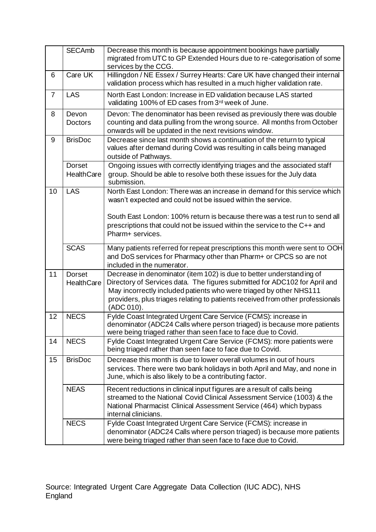|                | <b>SECAmb</b>                      | Decrease this month is because appointment bookings have partially<br>migrated from UTC to GP Extended Hours due to re-categorisation of some<br>services by the CCG.                                                                                                                                                    |
|----------------|------------------------------------|--------------------------------------------------------------------------------------------------------------------------------------------------------------------------------------------------------------------------------------------------------------------------------------------------------------------------|
| 6              | Care UK                            | Hillingdon / NE Essex / Surrey Hearts: Care UK have changed their internal<br>validation process which has resulted in a much higher validation rate.                                                                                                                                                                    |
| $\overline{7}$ | <b>LAS</b>                         | North East London: Increase in ED validation because LAS started<br>validating 100% of ED cases from 3rd week of June.                                                                                                                                                                                                   |
| 8              | Devon<br><b>Doctors</b>            | Devon: The denominator has been revised as previously there was double<br>counting and data pulling from the wrong source. All months from October<br>onwards will be updated in the next revisions window.                                                                                                              |
| 9              | <b>BrisDoc</b>                     | Decrease since last month shows a continuation of the return to typical<br>values after demand during Covid was resulting in calls being managed<br>outside of Pathways.                                                                                                                                                 |
|                | <b>Dorset</b><br>HealthCare        | Ongoing issues with correctly identifying triages and the associated staff<br>group. Should be able to resolve both these issues for the July data<br>submission.                                                                                                                                                        |
| 10             | <b>LAS</b>                         | North East London: There was an increase in demand for this service which<br>wasn't expected and could not be issued within the service.                                                                                                                                                                                 |
|                |                                    | South East London: 100% return is because there was a test run to send all<br>prescriptions that could not be issued within the service to the C++ and<br>Pharm+ services.                                                                                                                                               |
|                | <b>SCAS</b>                        | Many patients referred for repeat prescriptions this month were sent to OOH<br>and DoS services for Pharmacy other than Pharm+ or CPCS so are not<br>included in the numerator.                                                                                                                                          |
| 11             | <b>Dorset</b><br><b>HealthCare</b> | Decrease in denominator (item 102) is due to better understanding of<br>Directory of Services data. The figures submitted for ADC102 for April and<br>May incorrectly included patients who were triaged by other NHS111<br>providers, plus triages relating to patients received from other professionals<br>(ADC 010). |
| 12             | <b>NECS</b>                        | Fylde Coast Integrated Urgent Care Service (FCMS): increase in<br>denominator (ADC24 Calls where person triaged) is because more patients<br>were being triaged rather than seen face to face due to Covid.                                                                                                              |
| 14             | <b>NECS</b>                        | Fylde Coast Integrated Urgent Care Service (FCMS): more patients were<br>being triaged rather than seen face to face due to Covid.                                                                                                                                                                                       |
| 15             | <b>BrisDoc</b>                     | Decrease this month is due to lower overall volumes in out of hours<br>services. There were two bank holidays in both April and May, and none in<br>June, which is also likely to be a contributing factor.                                                                                                              |
|                | <b>NEAS</b>                        | Recent reductions in clinical input figures are a result of calls being<br>streamed to the National Covid Clinical Assessment Service (1003) & the<br>National Pharmacist Clinical Assessment Service (464) which bypass<br>internal clinicians.                                                                         |
|                | <b>NECS</b>                        | Fylde Coast Integrated Urgent Care Service (FCMS): increase in<br>denominator (ADC24 Calls where person triaged) is because more patients<br>were being triaged rather than seen face to face due to Covid.                                                                                                              |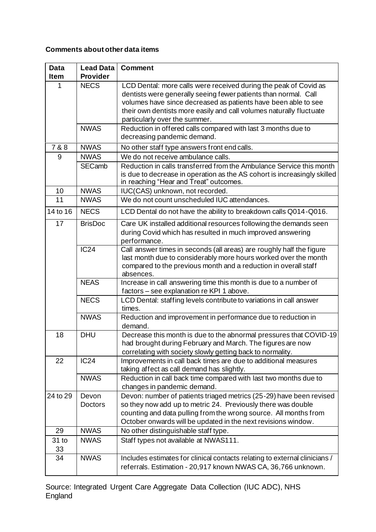## **Comments about other data items**

| <b>Data</b>     | <b>Lead Data</b>        | <b>Comment</b>                                                                                                                                                                                                                                                                                                |
|-----------------|-------------------------|---------------------------------------------------------------------------------------------------------------------------------------------------------------------------------------------------------------------------------------------------------------------------------------------------------------|
| <b>Item</b>     | <b>Provider</b>         |                                                                                                                                                                                                                                                                                                               |
| 1               | <b>NECS</b>             | LCD Dental: more calls were received during the peak of Covid as<br>dentists were generally seeing fewer patients than normal. Call<br>volumes have since decreased as patients have been able to see<br>their own dentists more easily and call volumes naturally fluctuate<br>particularly over the summer. |
|                 | <b>NWAS</b>             | Reduction in offered calls compared with last 3 months due to<br>decreasing pandemic demand.                                                                                                                                                                                                                  |
| 7 & 8           | <b>NWAS</b>             | No other staff type answers front end calls.                                                                                                                                                                                                                                                                  |
| 9               | <b>NWAS</b>             | We do not receive ambulance calls.                                                                                                                                                                                                                                                                            |
|                 | <b>SECamb</b>           | Reduction in calls transferred from the Ambulance Service this month<br>is due to decrease in operation as the AS cohort is increasingly skilled<br>in reaching "Hear and Treat" outcomes.                                                                                                                    |
| 10              | <b>NWAS</b>             | IUC(CAS) unknown, not recorded.                                                                                                                                                                                                                                                                               |
| $\overline{11}$ | <b>NWAS</b>             | We do not count unscheduled IUC attendances.                                                                                                                                                                                                                                                                  |
| 14 to 16        | <b>NECS</b>             | LCD Dental do not have the ability to breakdown calls Q014-Q016.                                                                                                                                                                                                                                              |
| 17              | <b>BrisDoc</b>          | Care UK installed additional resources following the demands seen<br>during Covid which has resulted in much improved answering<br>performance.                                                                                                                                                               |
|                 | <b>IC24</b>             | Call answer times in seconds (all areas) are roughly half the figure<br>last month due to considerably more hours worked over the month<br>compared to the previous month and a reduction in overall staff<br>absences.                                                                                       |
|                 | <b>NEAS</b>             | Increase in call answering time this month is due to a number of<br>factors - see explanation re KPI 1 above.                                                                                                                                                                                                 |
|                 | <b>NECS</b>             | LCD Dental: staffing levels contribute to variations in call answer<br>times.                                                                                                                                                                                                                                 |
|                 | <b>NWAS</b>             | Reduction and improvement in performance due to reduction in<br>demand.                                                                                                                                                                                                                                       |
| 18              | <b>DHU</b>              | Decrease this month is due to the abnormal pressures that COVID-19<br>had brought during February and March. The figures are now<br>correlating with society slowly getting back to normality.                                                                                                                |
| 22              | <b>IC24</b>             | Improvements in call back times are due to additional measures<br>taking affect as call demand has slightly.                                                                                                                                                                                                  |
|                 | <b>NWAS</b>             | Reduction in call back time compared with last two months due to<br>changes in pandemic demand.                                                                                                                                                                                                               |
| 24 to 29        | Devon<br><b>Doctors</b> | Devon: number of patients triaged metrics (25-29) have been revised<br>so they now add up to metric 24. Previously there was double<br>counting and data pulling from the wrong source. All months from<br>October onwards will be updated in the next revisions window.                                      |
| 29              | <b>NWAS</b>             | No other distinguishable staff type.                                                                                                                                                                                                                                                                          |
| 31 to<br>33     | <b>NWAS</b>             | Staff types not available at NWAS111.                                                                                                                                                                                                                                                                         |
| 34              | <b>NWAS</b>             | Includes estimates for clinical contacts relating to external clinicians /<br>referrals. Estimation - 20,917 known NWAS CA, 36,766 unknown.                                                                                                                                                                   |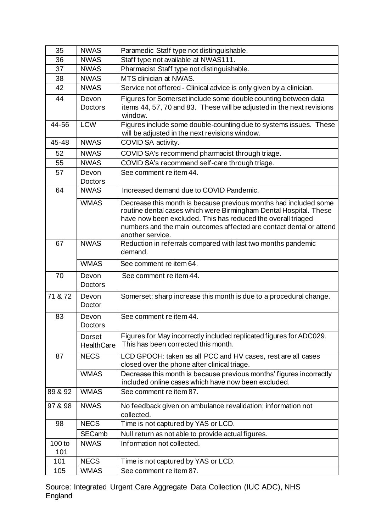| 35            | <b>NWAS</b>                        | Paramedic Staff type not distinguishable.                                                                                                                                                                                                                                                        |
|---------------|------------------------------------|--------------------------------------------------------------------------------------------------------------------------------------------------------------------------------------------------------------------------------------------------------------------------------------------------|
| 36            | <b>NWAS</b>                        | Staff type not available at NWAS111.                                                                                                                                                                                                                                                             |
| 37            | <b>NWAS</b>                        | Pharmacist Staff type not distinguishable.                                                                                                                                                                                                                                                       |
| 38            | <b>NWAS</b>                        | MTS clinician at NWAS.                                                                                                                                                                                                                                                                           |
| 42            | <b>NWAS</b>                        | Service not offered - Clinical advice is only given by a clinician.                                                                                                                                                                                                                              |
| 44            | Devon                              | Figures for Somerset include some double counting between data                                                                                                                                                                                                                                   |
|               | <b>Doctors</b>                     | items 44, 57, 70 and 83. These will be adjusted in the next revisions<br>window.                                                                                                                                                                                                                 |
| 44-56         | <b>LCW</b>                         | Figures include some double-counting due to systems issues. These<br>will be adjusted in the next revisions window.                                                                                                                                                                              |
| 45-48         | <b>NWAS</b>                        | COVID SA activity.                                                                                                                                                                                                                                                                               |
| 52            | <b>NWAS</b>                        | COVID SA's recommend pharmacist through triage.                                                                                                                                                                                                                                                  |
| 55            | <b>NWAS</b>                        | COVID SA's recommend self-care through triage.                                                                                                                                                                                                                                                   |
| 57            | Devon                              | See comment re item 44.                                                                                                                                                                                                                                                                          |
|               | <b>Doctors</b>                     |                                                                                                                                                                                                                                                                                                  |
| 64            | <b>NWAS</b>                        | Increased demand due to COVID Pandemic.                                                                                                                                                                                                                                                          |
|               | <b>WMAS</b>                        | Decrease this month is because previous months had included some<br>routine dental cases which were Birmingham Dental Hospital. These<br>have now been excluded. This has reduced the overall triaged<br>numbers and the main outcomes affected are contact dental or attend<br>another service. |
| 67            | <b>NWAS</b>                        | Reduction in referrals compared with last two months pandemic<br>demand.                                                                                                                                                                                                                         |
|               |                                    |                                                                                                                                                                                                                                                                                                  |
|               | <b>WMAS</b>                        | See comment re item 64.                                                                                                                                                                                                                                                                          |
| 70            | Devon<br><b>Doctors</b>            | See comment re item 44.                                                                                                                                                                                                                                                                          |
| 71 & 72       | Devon<br>Doctor                    | Somerset: sharp increase this month is due to a procedural change.                                                                                                                                                                                                                               |
| 83            | Devon<br><b>Doctors</b>            | See comment re item 44.                                                                                                                                                                                                                                                                          |
|               | <b>Dorset</b><br><b>HealthCare</b> | Figures for May incorrectly included replicated figures for ADC029.<br>This has been corrected this month.                                                                                                                                                                                       |
| 87            | <b>NECS</b>                        | LCD GPOOH: taken as all PCC and HV cases, rest are all cases<br>closed over the phone after clinical triage.                                                                                                                                                                                     |
|               | <b>WMAS</b>                        | Decrease this month is because previous months' figures incorrectly<br>included online cases which have now been excluded.                                                                                                                                                                       |
| 89 & 92       | <b>WMAS</b>                        | See comment re item 87.                                                                                                                                                                                                                                                                          |
| 97 & 98       | <b>NWAS</b>                        | No feedback given on ambulance revalidation; information not<br>collected.                                                                                                                                                                                                                       |
| 98            | <b>NECS</b>                        | Time is not captured by YAS or LCD.                                                                                                                                                                                                                                                              |
|               | SECamb                             | Null return as not able to provide actual figures.                                                                                                                                                                                                                                               |
| 100 to<br>101 | <b>NWAS</b>                        | Information not collected.                                                                                                                                                                                                                                                                       |
| 101           | <b>NECS</b>                        | Time is not captured by YAS or LCD.                                                                                                                                                                                                                                                              |

Source: Integrated Urgent Care Aggregate Data Collection (IUC ADC), NHS England